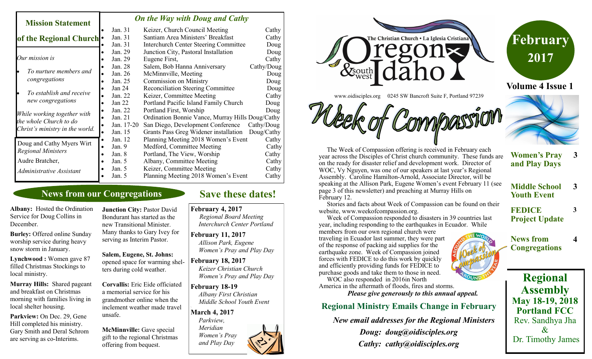#### *On the Way with Doug and Cathy*

| MISSION STATEMENT                                                                        |                     |                                                  |            |
|------------------------------------------------------------------------------------------|---------------------|--------------------------------------------------|------------|
|                                                                                          | Jan. 31             | Keizer, Church Council Meeting                   | Cathy      |
| of the Regional Church <sup>.</sup>                                                      | Jan. 31             | Santiam Area Ministers' Breakfast                | Cathy      |
|                                                                                          | Jan. 31             | <b>Interchurch Center Steering Committee</b>     | Doug       |
| Our mission is                                                                           | Jan. 29             | Junction City, Pastoral Installation             | Doug       |
|                                                                                          | Jan. 29             | Eugene First,                                    | Cathy      |
|                                                                                          | Jan. 28             | Salem, Bob Hanna Anniversary                     | Cathy/Doug |
| To nurture members and                                                                   | Jan. 26             | McMinnville, Meeting                             | Doug       |
| congregations                                                                            | Jan. 25             | <b>Commission on Ministry</b>                    | Doug       |
| To establish and receive<br>new congregations                                            | Jan 24              | <b>Reconciliation Steering Committee</b>         | Doug       |
|                                                                                          | Jan. 22             | Keizer, Committee Meeting                        | Cathy      |
|                                                                                          | Jan $22$            | Portland Pacific Island Family Church            | Doug       |
| While working together with<br>the whole Church to do<br>Christ's ministry in the world. | Jan. 22             | Portland First, Worship                          | Doug       |
|                                                                                          | Jan. 21             | Ordination Bonnie Vance, Murray Hills Doug/Cathy |            |
|                                                                                          | Jan. 17-20          | San Diego, Development Conference                | Cathy/Doug |
|                                                                                          | Jan. 15             | Grants Pass Greg Widener installation            | Doug/Cathy |
| Doug and Cathy Myers Wirt<br><b>Regional Ministers</b>                                   | Jan. 12             | Planning Meeting 2018 Women's Event              | Cathy      |
|                                                                                          | Jan. 9<br>$\bullet$ | Medford, Committee Meeting                       | Cathy      |
|                                                                                          | Jan. 8              | Portland, The View, Worship                      | Cathy      |
| Audre Bratcher,                                                                          | Jan. $5$            | Albany, Committee Meeting                        | Cathy      |
| Administrative Assistant                                                                 | Jan. $5$            | Keizer, Committee Meeting                        | Cathy      |
|                                                                                          | Jan. 5              | Planning Meeting 2018 Women's Event              | Cathy      |

## **News from our Congregations**

**Albany:** Hosted the Ordination Service for Doug Collins in December.

**Mission Statement** 

**Burley:** Offered online Sunday worship service during heavy snow storm in January.

**Lynchwood :** Women gave 87 filled Christmas Stockings to local ministry.

**Murray Hills:** Shared pageant and breakfast on Christmas morning with families living in local shelter housing.

**Parkview:** On Dec. 29, Gene Hill completed his ministry. Gary Smith and Deral Schrom are serving as co-Interims.

**Junction City: Pastor David** Bondurant has started as the new Transitional Minister. Many thanks to Gary Ivey for serving as Interim Pastor.

**Salem, Eugene, St. Johns:**  opened space for warming shelters during cold weather.

**Corvallis:** Eric Eide officiated a memorial service for his grandmother online when the inclement weather made travel unsafe.

**McMinnville:** Gave special gift to the regional Christmas offering from bequest.

# **Save these dates!**

**February 4, 2017** 

*Regional Board Meeting Interchurch Center Portland*

**February 11, 2017**  *Allison Park, Eugene Women's Pray and Play Day*

**February 18, 2017**  *Keizer Christian Church Women's Pray and Play Day*

**February 18-19**  *Albany First Christian Middle School Youth Event*

**March 4, 2017**  *Parkview,* 

*\*

 *Meridian Women's Pray and Play Day*





www.oidisciples.org 0245 SW Bancroft Suite F, Portland 97239

 The Week of Compassion offering is received in February each year across the Disciples of Christ church community. These funds are on the ready for disaster relief and development work. Director of WOC, Vy Nguyen, was one of our speakers at last year's Regional Assembly. Caroline Hamilton-Arnold, Associate Director, will be speaking at the Allison Park, Eugene Women's event February 11 (see page 3 of this newsletter) and preaching at Murray Hills on February 12.

 Stories and facts about Week of Compassion can be found on their website, www.weekofcompassion.org.

 Week of Compassion responded to disasters in 39 countries last year, including responding to the earthquakes in Ecuador. While

members from our own regional church were traveling in Ecuador last summer, they were part of the response of packing aid supplies for the earthquake zone. Week of Compassion joined forces with FEDICE to do this work by quickly and efficiently providing funds for FEDICE to purchase goods and take them to those in need.

 WOC also responded in 2016in North America in the aftermath of floods, fires and storms. *Please give generously to this annual appeal.*

#### **Regional Ministry Emails Change in February**

 *New email addresses for the Regional Ministers*

*Doug: doug@oidisciples.org Cathy: cathy@oidisciples.org*



- **Women's Pray and Play Days 3**
- **Middle School Youth Event 3**
- **FEDICE Project Update**

**3**

**4**

**News from Congregations**